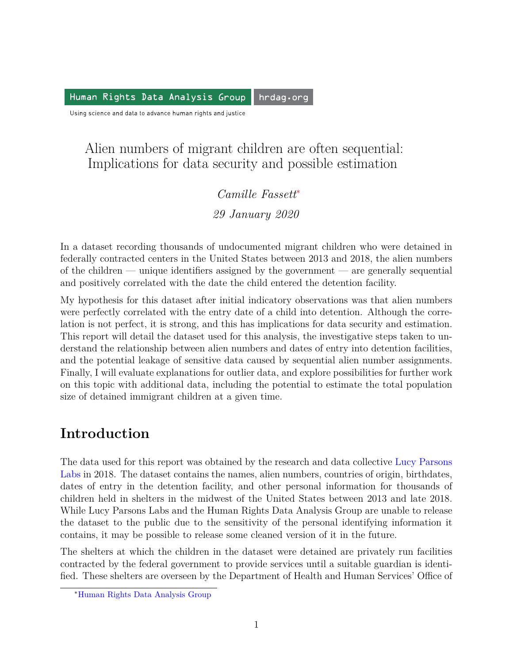Human Rights Data Analysis Group hrdag.org

Using science and data to advance human rights and justice

### Alien numbers of migrant children are often sequential: Implications for data security and possible estimation

### *Camille Fassett*[∗](#page-0-0) *29 January 2020*

In a dataset recording thousands of undocumented migrant children who were detained in federally contracted centers in the United States between 2013 and 2018, the alien numbers of the children — unique identifiers assigned by the government — are generally sequential and positively correlated with the date the child entered the detention facility.

My hypothesis for this dataset after initial indicatory observations was that alien numbers were perfectly correlated with the entry date of a child into detention. Although the correlation is not perfect, it is strong, and this has implications for data security and estimation. This report will detail the dataset used for this analysis, the investigative steps taken to understand the relationship between alien numbers and dates of entry into detention facilities, and the potential leakage of sensitive data caused by sequential alien number assignments. Finally, I will evaluate explanations for outlier data, and explore possibilities for further work on this topic with additional data, including the potential to estimate the total population size of detained immigrant children at a given time.

# **Introduction**

The data used for this report was obtained by the research and data collective [Lucy Parsons](https://lucyparsonslabs.com/) [Labs](https://lucyparsonslabs.com/) in 2018. The dataset contains the names, alien numbers, countries of origin, birthdates, dates of entry in the detention facility, and other personal information for thousands of children held in shelters in the midwest of the United States between 2013 and late 2018. While Lucy Parsons Labs and the Human Rights Data Analysis Group are unable to release the dataset to the public due to the sensitivity of the personal identifying information it contains, it may be possible to release some cleaned version of it in the future.

The shelters at which the children in the dataset were detained are privately run facilities contracted by the federal government to provide services until a suitable guardian is identified. These shelters are overseen by the Department of Health and Human Services' Office of

<span id="page-0-0"></span><sup>∗</sup>[Human Rights Data Analysis Group](https://hrdag.org)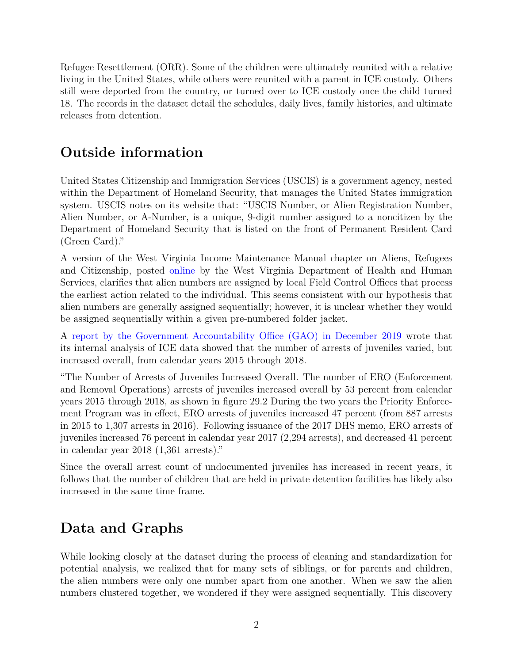Refugee Resettlement (ORR). Some of the children were ultimately reunited with a relative living in the United States, while others were reunited with a parent in ICE custody. Others still were deported from the country, or turned over to ICE custody once the child turned 18. The records in the dataset detail the schedules, daily lives, family histories, and ultimate releases from detention.

# **Outside information**

United States Citizenship and Immigration Services (USCIS) is a government agency, nested within the Department of Homeland Security, that manages the United States immigration system. USCIS notes on its website that: "USCIS Number, or Alien Registration Number, Alien Number, or A-Number, is a unique, 9-digit number assigned to a noncitizen by the Department of Homeland Security that is listed on the front of Permanent Resident Card (Green Card)."

A version of the West Virginia Income Maintenance Manual chapter on Aliens, Refugees and Citizenship, posted [online](https://dhhr.wv.gov/bcf/Services/familyassistance/PolicyManual/Documents/Chapter%2018/ch18_1.pdf) by the West Virginia Department of Health and Human Services, clarifies that alien numbers are assigned by local Field Control Offices that process the earliest action related to the individual. This seems consistent with our hypothesis that alien numbers are generally assigned sequentially; however, it is unclear whether they would be assigned sequentially within a given pre-numbered folder jacket.

A [report by the Government Accountability Office \(GAO\) in December 2019](https://www.gao.gov/assets/710/703032.pdf) wrote that its internal analysis of ICE data showed that the number of arrests of juveniles varied, but increased overall, from calendar years 2015 through 2018.

"The Number of Arrests of Juveniles Increased Overall. The number of ERO (Enforcement and Removal Operations) arrests of juveniles increased overall by 53 percent from calendar years 2015 through 2018, as shown in figure 29.2 During the two years the Priority Enforcement Program was in effect, ERO arrests of juveniles increased 47 percent (from 887 arrests in 2015 to 1,307 arrests in 2016). Following issuance of the 2017 DHS memo, ERO arrests of juveniles increased 76 percent in calendar year 2017 (2,294 arrests), and decreased 41 percent in calendar year 2018 (1,361 arrests)."

Since the overall arrest count of undocumented juveniles has increased in recent years, it follows that the number of children that are held in private detention facilities has likely also increased in the same time frame.

# **Data and Graphs**

While looking closely at the dataset during the process of cleaning and standardization for potential analysis, we realized that for many sets of siblings, or for parents and children, the alien numbers were only one number apart from one another. When we saw the alien numbers clustered together, we wondered if they were assigned sequentially. This discovery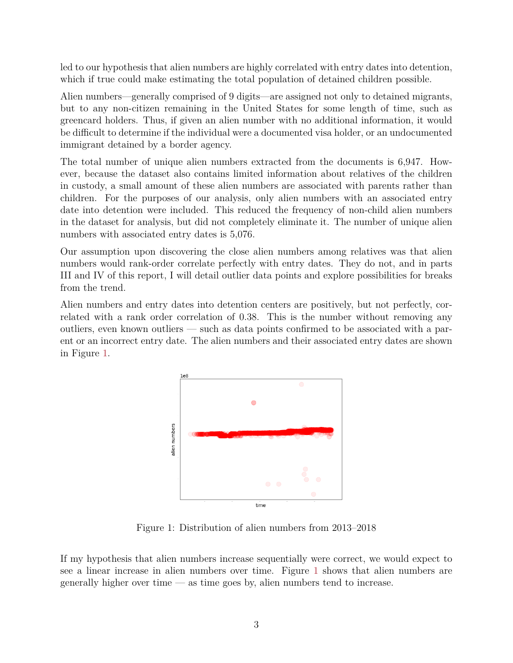led to our hypothesis that alien numbers are highly correlated with entry dates into detention, which if true could make estimating the total population of detained children possible.

Alien numbers—generally comprised of 9 digits—are assigned not only to detained migrants, but to any non-citizen remaining in the United States for some length of time, such as greencard holders. Thus, if given an alien number with no additional information, it would be difficult to determine if the individual were a documented visa holder, or an undocumented immigrant detained by a border agency.

The total number of unique alien numbers extracted from the documents is 6,947. However, because the dataset also contains limited information about relatives of the children in custody, a small amount of these alien numbers are associated with parents rather than children. For the purposes of our analysis, only alien numbers with an associated entry date into detention were included. This reduced the frequency of non-child alien numbers in the dataset for analysis, but did not completely eliminate it. The number of unique alien numbers with associated entry dates is 5,076.

Our assumption upon discovering the close alien numbers among relatives was that alien numbers would rank-order correlate perfectly with entry dates. They do not, and in parts III and IV of this report, I will detail outlier data points and explore possibilities for breaks from the trend.

Alien numbers and entry dates into detention centers are positively, but not perfectly, correlated with a rank order correlation of 0.38. This is the number without removing any outliers, even known outliers — such as data points confirmed to be associated with a parent or an incorrect entry date. The alien numbers and their associated entry dates are shown in Figure [1.](#page-2-0)



Figure 1: Distribution of alien numbers from 2013–2018

<span id="page-2-0"></span>If my hypothesis that alien numbers increase sequentially were correct, we would expect to see a linear increase in alien numbers over time. Figure [1](#page-2-0) shows that alien numbers are generally higher over time — as time goes by, alien numbers tend to increase.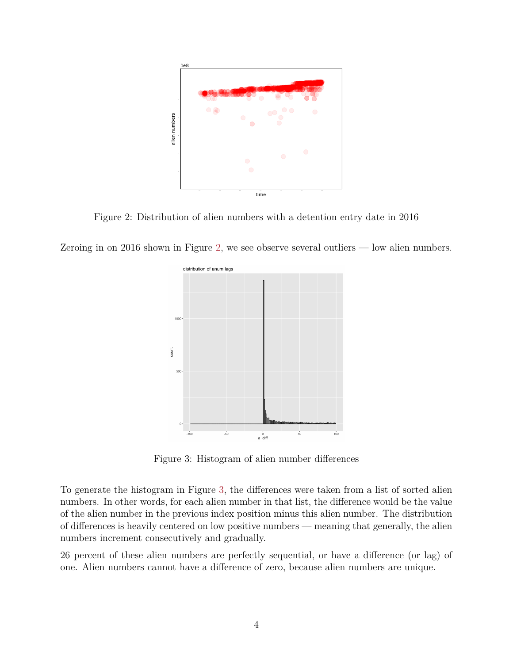

<span id="page-3-0"></span>Figure 2: Distribution of alien numbers with a detention entry date in 2016

Zeroing in on 2016 shown in Figure [2,](#page-3-0) we see observe several outliers  $-$  low alien numbers.



Figure 3: Histogram of alien number differences

<span id="page-3-1"></span>To generate the histogram in Figure [3,](#page-3-1) the differences were taken from a list of sorted alien numbers. In other words, for each alien number in that list, the difference would be the value of the alien number in the previous index position minus this alien number. The distribution of differences is heavily centered on low positive numbers — meaning that generally, the alien numbers increment consecutively and gradually.

26 percent of these alien numbers are perfectly sequential, or have a difference (or lag) of one. Alien numbers cannot have a difference of zero, because alien numbers are unique.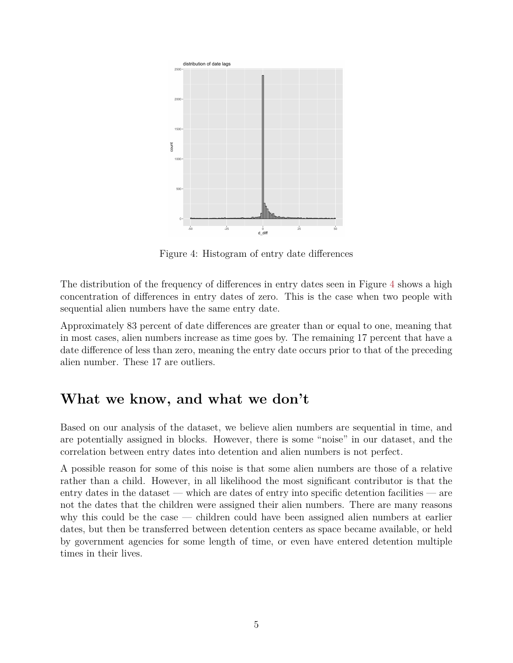

Figure 4: Histogram of entry date differences

<span id="page-4-0"></span>The distribution of the frequency of differences in entry dates seen in Figure [4](#page-4-0) shows a high concentration of differences in entry dates of zero. This is the case when two people with sequential alien numbers have the same entry date.

Approximately 83 percent of date differences are greater than or equal to one, meaning that in most cases, alien numbers increase as time goes by. The remaining 17 percent that have a date difference of less than zero, meaning the entry date occurs prior to that of the preceding alien number. These 17 are outliers.

### **What we know, and what we don't**

Based on our analysis of the dataset, we believe alien numbers are sequential in time, and are potentially assigned in blocks. However, there is some "noise" in our dataset, and the correlation between entry dates into detention and alien numbers is not perfect.

A possible reason for some of this noise is that some alien numbers are those of a relative rather than a child. However, in all likelihood the most significant contributor is that the entry dates in the dataset — which are dates of entry into specific detention facilities — are not the dates that the children were assigned their alien numbers. There are many reasons why this could be the case — children could have been assigned alien numbers at earlier dates, but then be transferred between detention centers as space became available, or held by government agencies for some length of time, or even have entered detention multiple times in their lives.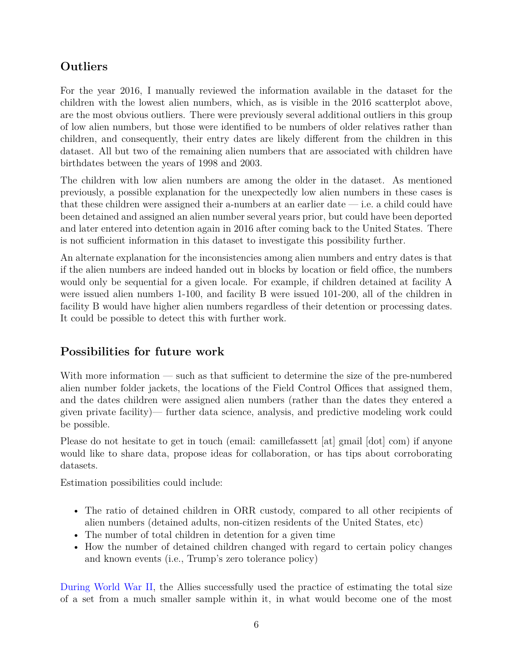### **Outliers**

For the year 2016, I manually reviewed the information available in the dataset for the children with the lowest alien numbers, which, as is visible in the 2016 scatterplot above, are the most obvious outliers. There were previously several additional outliers in this group of low alien numbers, but those were identified to be numbers of older relatives rather than children, and consequently, their entry dates are likely different from the children in this dataset. All but two of the remaining alien numbers that are associated with children have birthdates between the years of 1998 and 2003.

The children with low alien numbers are among the older in the dataset. As mentioned previously, a possible explanation for the unexpectedly low alien numbers in these cases is that these children were assigned their a-numbers at an earlier date  $-$  i.e. a child could have been detained and assigned an alien number several years prior, but could have been deported and later entered into detention again in 2016 after coming back to the United States. There is not sufficient information in this dataset to investigate this possibility further.

An alternate explanation for the inconsistencies among alien numbers and entry dates is that if the alien numbers are indeed handed out in blocks by location or field office, the numbers would only be sequential for a given locale. For example, if children detained at facility A were issued alien numbers 1-100, and facility B were issued 101-200, all of the children in facility B would have higher alien numbers regardless of their detention or processing dates. It could be possible to detect this with further work.

#### **Possibilities for future work**

With more information — such as that sufficient to determine the size of the pre-numbered alien number folder jackets, the locations of the Field Control Offices that assigned them, and the dates children were assigned alien numbers (rather than the dates they entered a given private facility)— further data science, analysis, and predictive modeling work could be possible.

Please do not hesitate to get in touch (email: camillefassett [at] gmail [dot] com) if anyone would like to share data, propose ideas for collaboration, or has tips about corroborating datasets.

Estimation possibilities could include:

- The ratio of detained children in ORR custody, compared to all other recipients of alien numbers (detained adults, non-citizen residents of the United States, etc)
- The number of total children in detention for a given time
- How the number of detained children changed with regard to certain policy changes and known events (i.e., Trump's zero tolerance policy)

[During World War II,](https://www.warhistoryonline.com/instant-articles/the-german-tank-problem.html) the Allies successfully used the practice of estimating the total size of a set from a much smaller sample within it, in what would become one of the most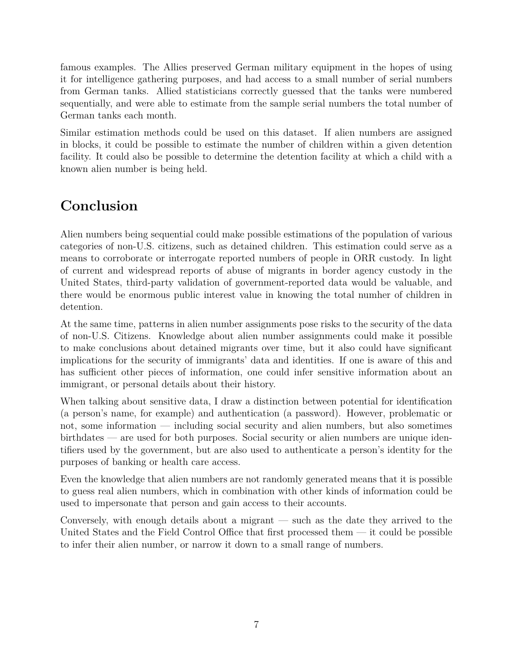famous examples. The Allies preserved German military equipment in the hopes of using it for intelligence gathering purposes, and had access to a small number of serial numbers from German tanks. Allied statisticians correctly guessed that the tanks were numbered sequentially, and were able to estimate from the sample serial numbers the total number of German tanks each month.

Similar estimation methods could be used on this dataset. If alien numbers are assigned in blocks, it could be possible to estimate the number of children within a given detention facility. It could also be possible to determine the detention facility at which a child with a known alien number is being held.

# **Conclusion**

Alien numbers being sequential could make possible estimations of the population of various categories of non-U.S. citizens, such as detained children. This estimation could serve as a means to corroborate or interrogate reported numbers of people in ORR custody. In light of current and widespread reports of abuse of migrants in border agency custody in the United States, third-party validation of government-reported data would be valuable, and there would be enormous public interest value in knowing the total numher of children in detention.

At the same time, patterns in alien number assignments pose risks to the security of the data of non-U.S. Citizens. Knowledge about alien number assignments could make it possible to make conclusions about detained migrants over time, but it also could have significant implications for the security of immigrants' data and identities. If one is aware of this and has sufficient other pieces of information, one could infer sensitive information about an immigrant, or personal details about their history.

When talking about sensitive data, I draw a distinction between potential for identification (a person's name, for example) and authentication (a password). However, problematic or not, some information — including social security and alien numbers, but also sometimes birthdates — are used for both purposes. Social security or alien numbers are unique identifiers used by the government, but are also used to authenticate a person's identity for the purposes of banking or health care access.

Even the knowledge that alien numbers are not randomly generated means that it is possible to guess real alien numbers, which in combination with other kinds of information could be used to impersonate that person and gain access to their accounts.

Conversely, with enough details about a migrant — such as the date they arrived to the United States and the Field Control Office that first processed them — it could be possible to infer their alien number, or narrow it down to a small range of numbers.